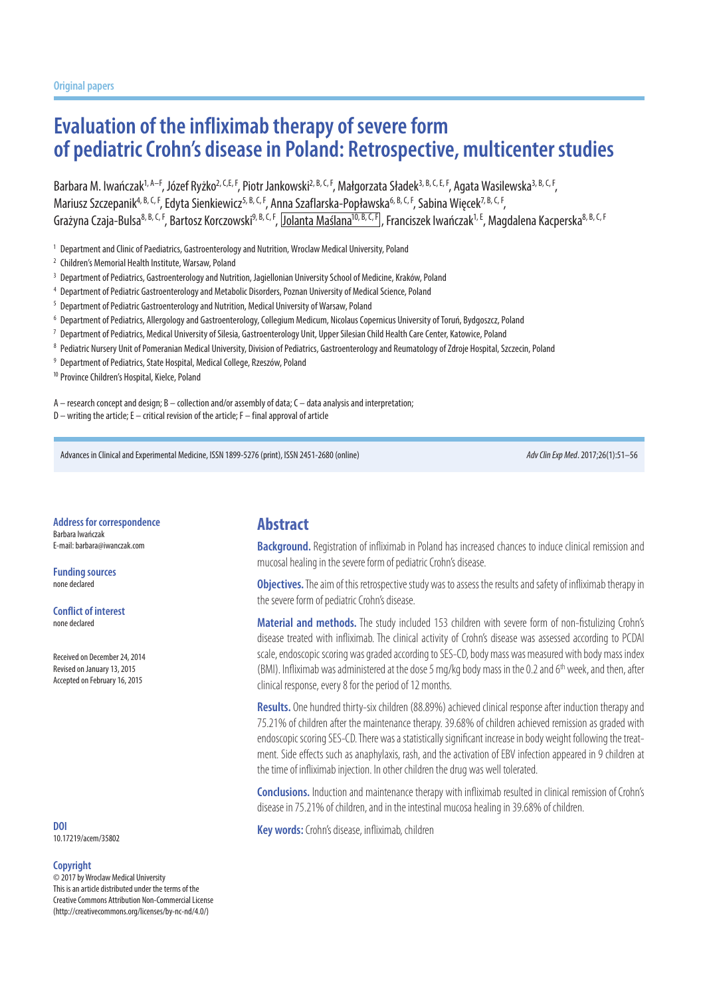# **Evaluation of the infliximab therapy of severe form of pediatric Crohn's disease in Poland: Retrospective, multicenter studies**

Barbara M. Iwańczak<sup>1, A–F</sup>, Józef Ryżko<sup>2, C,E, F</sup>, Piotr Jankowski<sup>2, B, C, F</sup>, Małgorzata Sładek<sup>3, B, C, E, F</sup>, Agata Wasilewska<sup>3, B, C, F</sup>. Mariusz Szczepanik<sup>4, B, C, F</sup>, Edyta Sienkiewicz<sup>5, B, C, F</sup>, Anna Szaflarska-Popławska<sup>6, B, C, F</sup>, Sabina Więcek<sup>7, B, C, F</sup>, Grażyna Czaja-Bulsa<sup>8, B, C, F</sup>, Bartosz Korczowski<sup>9, B, C, F</sup>, Jolanta Maślana<sup>10, B, C, F</sup>, Franciszek Iwańczak<sup>1, E</sup>, Magdalena Kacperska<sup>8, B, C, F</sup>

- <sup>1</sup> Department and Clinic of Paediatrics, Gastroenterology and Nutrition, Wroclaw Medical University, Poland
- <sup>2</sup> Children's Memorial Health Institute, Warsaw, Poland
- <sup>3</sup> Department of Pediatrics, Gastroenterology and Nutrition, Jagiellonian University School of Medicine, Kraków, Poland
- <sup>4</sup> Department of Pediatric Gastroenterology and Metabolic Disorders, Poznan University of Medical Science, Poland
- <sup>5</sup> Department of Pediatric Gastroenterology and Nutrition, Medical University of Warsaw, Poland
- <sup>6</sup> Department of Pediatrics, Allergology and Gastroenterology, Collegium Medicum, Nicolaus Copernicus University of Toruń, Bydgoszcz, Poland
- <sup>7</sup> Department of Pediatrics, Medical University of Silesia, Gastroenterology Unit, Upper Silesian Child Health Care Center, Katowice, Poland
- <sup>8</sup> Pediatric Nursery Unit of Pomeranian Medical University, Division of Pediatrics, Gastroenterology and Reumatology of Zdroje Hospital, Szczecin, Poland
- <sup>9</sup> Department of Pediatrics, State Hospital, Medical College, Rzeszów, Poland

<sup>10</sup> Province Children's Hospital, Kielce, Poland

A – research concept and design; B – collection and/or assembly of data; C – data analysis and interpretation;

D – writing the article; E – critical revision of the article; F – final approval of article

Advances in Clinical and Experimental Medicine, ISSN 1899-5276 (print), ISSN 2451-2680 (online) *Adv Clin Exp Med*. 2017;26(1):51–56

**Address for correspondence** Barbara Iwańczak E-mail: barbara@iwanczak.com

**Funding sources** none declared

**Conflict of interest** none declared

Received on December 24, 2014 Revised on January 13, 2015 Accepted on February 16, 2015

10.17219/acem/35802

#### **Copyright**

© 2017 by Wroclaw Medical University This is an article distributed under the terms of the Creative Commons Attribution Non-Commercial License (http://creativecommons.org/licenses/by-nc-nd/4.0/)

#### **Abstract**

**Background.** Registration of infliximab in Poland has increased chances to induce clinical remission and mucosal healing in the severe form of pediatric Crohn's disease.

**Objectives.** The aim of this retrospective study was to assess the results and safety of infliximab therapy in the severe form of pediatric Crohn's disease.

**Material and methods.** The study included 153 children with severe form of non-fistulizing Crohn's disease treated with infliximab. The clinical activity of Crohn's disease was assessed according to PCDAI scale, endoscopic scoring was graded according to SES-CD, body mass was measured with body mass index (BMI). Infliximab was administered at the dose 5 mg/kg body mass in the 0.2 and 6<sup>th</sup> week, and then, after clinical response, every 8 for the period of 12 months.

**Results.** One hundred thirty-six children (88.89%) achieved clinical response after induction therapy and 75.21% of children after the maintenance therapy. 39.68% of children achieved remission as graded with endoscopic scoring SES-CD. There was a statistically significant increase in body weight following the treatment. Side effects such as anaphylaxis, rash, and the activation of EBV infection appeared in 9 children at the time of infliximab injection. In other children the drug was well tolerated.

**Conclusions.** Induction and maintenance therapy with infliximab resulted in clinical remission of Crohn's disease in 75.21% of children, and in the intestinal mucosa healing in 39.68% of children.

**Key words:** Crohn's disease, infliximab, children **DOI**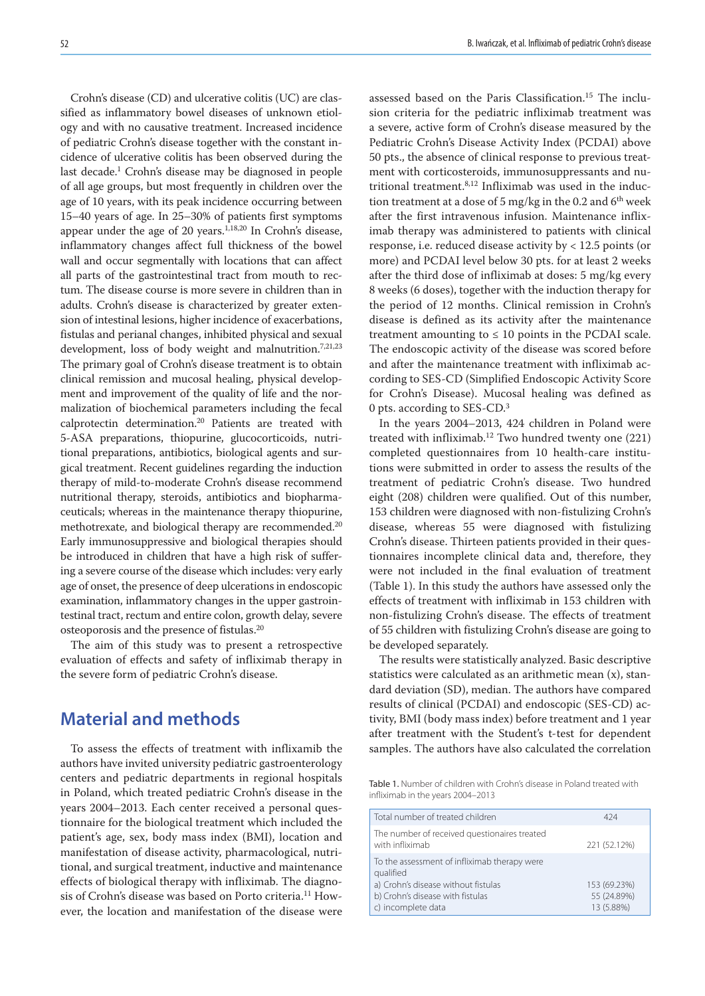Crohn's disease (CD) and ulcerative colitis (UC) are classified as inflammatory bowel diseases of unknown etiology and with no causative treatment. Increased incidence of pediatric Crohn's disease together with the constant incidence of ulcerative colitis has been observed during the last decade.1 Crohn's disease may be diagnosed in people of all age groups, but most frequently in children over the age of 10 years, with its peak incidence occurring between 15–40 years of age. In 25–30% of patients first symptoms appear under the age of 20 years.<sup>1,18,20</sup> In Crohn's disease, inflammatory changes affect full thickness of the bowel wall and occur segmentally with locations that can affect all parts of the gastrointestinal tract from mouth to rectum. The disease course is more severe in children than in adults. Crohn's disease is characterized by greater extension of intestinal lesions, higher incidence of exacerbations, fistulas and perianal changes, inhibited physical and sexual development, loss of body weight and malnutrition.<sup>7,21,23</sup> The primary goal of Crohn's disease treatment is to obtain clinical remission and mucosal healing, physical development and improvement of the quality of life and the normalization of biochemical parameters including the fecal calprotectin determination.<sup>20</sup> Patients are treated with 5-ASA preparations, thiopurine, glucocorticoids, nutritional preparations, antibiotics, biological agents and surgical treatment. Recent guidelines regarding the induction therapy of mild-to-moderate Crohn's disease recommend nutritional therapy, steroids, antibiotics and biopharmaceuticals; whereas in the maintenance therapy thiopurine, methotrexate, and biological therapy are recommended.<sup>20</sup> Early immunosuppressive and biological therapies should be introduced in children that have a high risk of suffering a severe course of the disease which includes: very early age of onset, the presence of deep ulcerations in endoscopic examination, inflammatory changes in the upper gastrointestinal tract, rectum and entire colon, growth delay, severe osteoporosis and the presence of fistulas.20

The aim of this study was to present a retrospective evaluation of effects and safety of infliximab therapy in the severe form of pediatric Crohn's disease.

### **Material and methods**

To assess the effects of treatment with inflixamib the authors have invited university pediatric gastroenterology centers and pediatric departments in regional hospitals in Poland, which treated pediatric Crohn's disease in the years 2004–2013. Each center received a personal questionnaire for the biological treatment which included the patient's age, sex, body mass index (BMI), location and manifestation of disease activity, pharmacological, nutritional, and surgical treatment, inductive and maintenance effects of biological therapy with infliximab. The diagnosis of Crohn's disease was based on Porto criteria.<sup>11</sup> However, the location and manifestation of the disease were

assessed based on the Paris Classification.15 The inclusion criteria for the pediatric infliximab treatment was a severe, active form of Crohn's disease measured by the Pediatric Crohn's Disease Activity Index (PCDAI) above 50 pts., the absence of clinical response to previous treatment with corticosteroids, immunosuppressants and nutritional treatment.8,12 Infliximab was used in the induction treatment at a dose of 5 mg/kg in the 0.2 and  $6<sup>th</sup>$  week after the first intravenous infusion. Maintenance infliximab therapy was administered to patients with clinical response, i.e. reduced disease activity by < 12.5 points (or more) and PCDAI level below 30 pts. for at least 2 weeks after the third dose of infliximab at doses: 5 mg/kg every 8 weeks (6 doses), together with the induction therapy for the period of 12 months. Clinical remission in Crohn's disease is defined as its activity after the maintenance treatment amounting to  $\leq 10$  points in the PCDAI scale. The endoscopic activity of the disease was scored before and after the maintenance treatment with infliximab according to SES-CD (Simplified Endoscopic Activity Score for Crohn's Disease). Mucosal healing was defined as 0 pts. according to SES-CD.3

In the years 2004–2013, 424 children in Poland were treated with infliximab.12 Two hundred twenty one (221) completed questionnaires from 10 health-care institutions were submitted in order to assess the results of the treatment of pediatric Crohn's disease. Two hundred eight (208) children were qualified. Out of this number, 153 children were diagnosed with non-fistulizing Crohn's disease, whereas 55 were diagnosed with fistulizing Crohn's disease. Thirteen patients provided in their questionnaires incomplete clinical data and, therefore, they were not included in the final evaluation of treatment (Table 1). In this study the authors have assessed only the effects of treatment with infliximab in 153 children with non-fistulizing Crohn's disease. The effects of treatment of 55 children with fistulizing Crohn's disease are going to be developed separately.

The results were statistically analyzed. Basic descriptive statistics were calculated as an arithmetic mean (x), standard deviation (SD), median. The authors have compared results of clinical (PCDAI) and endoscopic (SES-CD) activity, BMI (body mass index) before treatment and 1 year after treatment with the Student's t-test for dependent samples. The authors have also calculated the correlation

Table 1. Number of children with Crohn's disease in Poland treated with infliximab in the years 2004–2013

| Total number of treated children                                                                                                                           | 424                                       |
|------------------------------------------------------------------------------------------------------------------------------------------------------------|-------------------------------------------|
| The number of received questionaires treated<br>with infliximab                                                                                            | 221 (52.12%)                              |
| To the assessment of infliximab therapy were<br>qualified<br>a) Crohn's disease without fistulas<br>b) Crohn's disease with fistulas<br>c) incomplete data | 153 (69.23%)<br>55 (24.89%)<br>13 (5.88%) |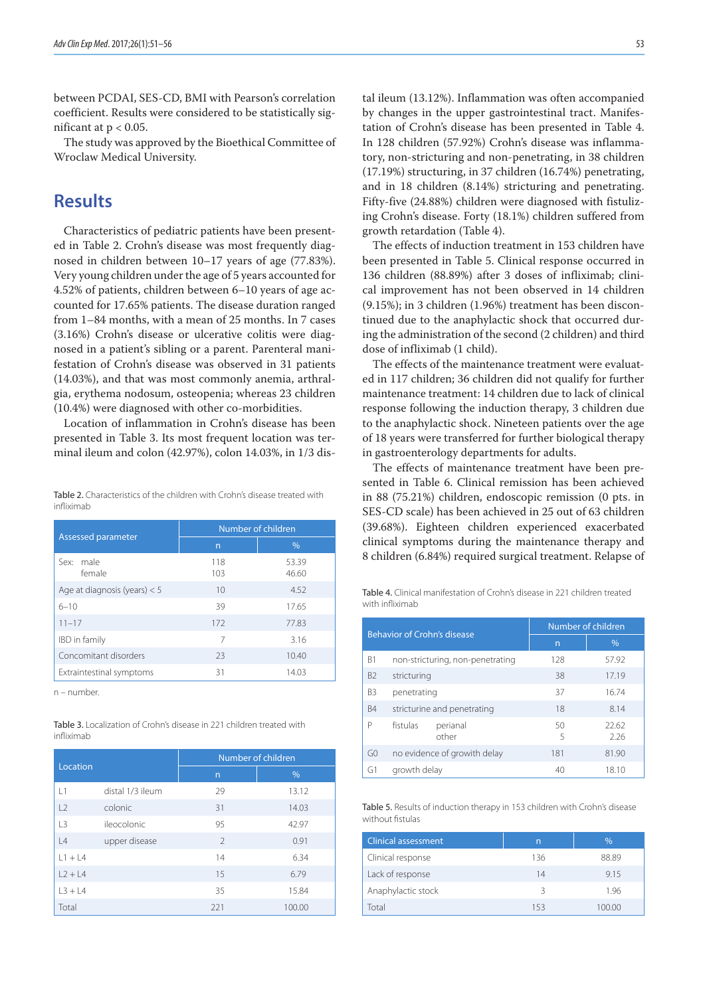between PCDAI, SES-CD, BMI with Pearson's correlation coefficient. Results were considered to be statistically significant at  $p < 0.05$ .

The study was approved by the Bioethical Committee of Wroclaw Medical University.

## **Results**

Characteristics of pediatric patients have been presented in Table 2. Crohn's disease was most frequently diagnosed in children between 10–17 years of age (77.83%). Very young children under the age of 5 years accounted for 4.52% of patients, children between 6–10 years of age accounted for 17.65% patients. The disease duration ranged from 1–84 months, with a mean of 25 months. In 7 cases (3.16%) Crohn's disease or ulcerative colitis were diagnosed in a patient's sibling or a parent. Parenteral manifestation of Crohn's disease was observed in 31 patients (14.03%), and that was most commonly anemia, arthralgia, erythema nodosum, osteopenia; whereas 23 children (10.4%) were diagnosed with other co-morbidities.

Location of inflammation in Crohn's disease has been presented in Table 3. Its most frequent location was terminal ileum and colon (42.97%), colon 14.03%, in 1/3 dis-

Table 2. Characteristics of the children with Crohn's disease treated with infliximab

|                                | Number of children |                |  |  |
|--------------------------------|--------------------|----------------|--|--|
| Assessed parameter             | n                  | $\%$           |  |  |
| male<br>Sex:<br>female         | 118<br>103         | 53.39<br>46.60 |  |  |
| Age at diagnosis (years) $< 5$ | 10                 | 4.52           |  |  |
| $6 - 10$                       | 39                 | 17.65          |  |  |
| $11 - 17$                      | 172                | 77.83          |  |  |
| <b>IBD</b> in family           | 7                  | 3.16           |  |  |
| Concomitant disorders          | 23                 | 10.40          |  |  |
| Extraintestinal symptoms       | 31                 | 14.03          |  |  |

n – number.

Table 3. Localization of Crohn's disease in 221 children treated with infliximab

| Location  |                  | Number of children |        |  |  |
|-----------|------------------|--------------------|--------|--|--|
|           |                  | $\overline{n}$     | $\%$   |  |  |
| 1         | distal 1/3 ileum | 29                 | 13.12  |  |  |
| L2        | colonic          | 31                 | 14.03  |  |  |
| $\vert$ 3 | ileocolonic      | 95                 | 42.97  |  |  |
| L4        | upper disease    | $\mathcal{P}$      | 0.91   |  |  |
| $L1 + L4$ |                  | 14                 | 6.34   |  |  |
| $L2 + L4$ |                  | 15                 | 6.79   |  |  |
| $L3 + L4$ |                  | 35                 | 15.84  |  |  |
| Total     |                  | 221                | 100.00 |  |  |

tal ileum (13.12%). Inflammation was often accompanied by changes in the upper gastrointestinal tract. Manifestation of Crohn's disease has been presented in Table 4. In 128 children (57.92%) Crohn's disease was inflammatory, non-stricturing and non-penetrating, in 38 children (17.19%) structuring, in 37 children (16.74%) penetrating, and in 18 children (8.14%) stricturing and penetrating. Fifty-five (24.88%) children were diagnosed with fistulizing Crohn's disease. Forty (18.1%) children suffered from growth retardation (Table 4).

The effects of induction treatment in 153 children have been presented in Table 5. Clinical response occurred in 136 children (88.89%) after 3 doses of infliximab; clinical improvement has not been observed in 14 children (9.15%); in 3 children (1.96%) treatment has been discontinued due to the anaphylactic shock that occurred during the administration of the second (2 children) and third dose of infliximab (1 child).

The effects of the maintenance treatment were evaluated in 117 children; 36 children did not qualify for further maintenance treatment: 14 children due to lack of clinical response following the induction therapy, 3 children due to the anaphylactic shock. Nineteen patients over the age of 18 years were transferred for further biological therapy in gastroenterology departments for adults.

The effects of maintenance treatment have been presented in Table 6. Clinical remission has been achieved in 88 (75.21%) children, endoscopic remission (0 pts. in SES-CD scale) has been achieved in 25 out of 63 children (39.68%). Eighteen children experienced exacerbated clinical symptoms during the maintenance therapy and 8 children (6.84%) required surgical treatment. Relapse of

Table 4. Clinical manifestation of Crohn's disease in 221 children treated with infliximab

| Behavior of Crohn's disease |              |                                  | Number of children |               |  |  |
|-----------------------------|--------------|----------------------------------|--------------------|---------------|--|--|
|                             |              |                                  | $\overline{n}$     | $\%$          |  |  |
| B1                          |              | non-stricturing, non-penetrating | 128                | 57.92         |  |  |
| <b>B2</b>                   | stricturing  |                                  | 38                 | 17.19         |  |  |
| B <sub>3</sub>              | penetrating  |                                  | 37                 | 16.74         |  |  |
| <b>B4</b>                   |              | stricturine and penetrating      | 18                 | 8.14          |  |  |
| Р                           | fistulas     | perianal<br>other                | 50<br>5            | 22.62<br>2.26 |  |  |
| G0                          |              | no evidence of growith delay     | 181                | 81.90         |  |  |
| G1                          | growth delay |                                  | 40                 | 18.10         |  |  |

Table 5. Results of induction therapy in 153 children with Crohn's disease without fistulas

| <b>Clinical assessment</b> | n   | $\%$   |
|----------------------------|-----|--------|
| Clinical response          | 136 | 88.89  |
| Lack of response           | 14  | 9.15   |
| Anaphylactic stock         | ર   | 1.96   |
| Гоtal                      | 153 | 100.00 |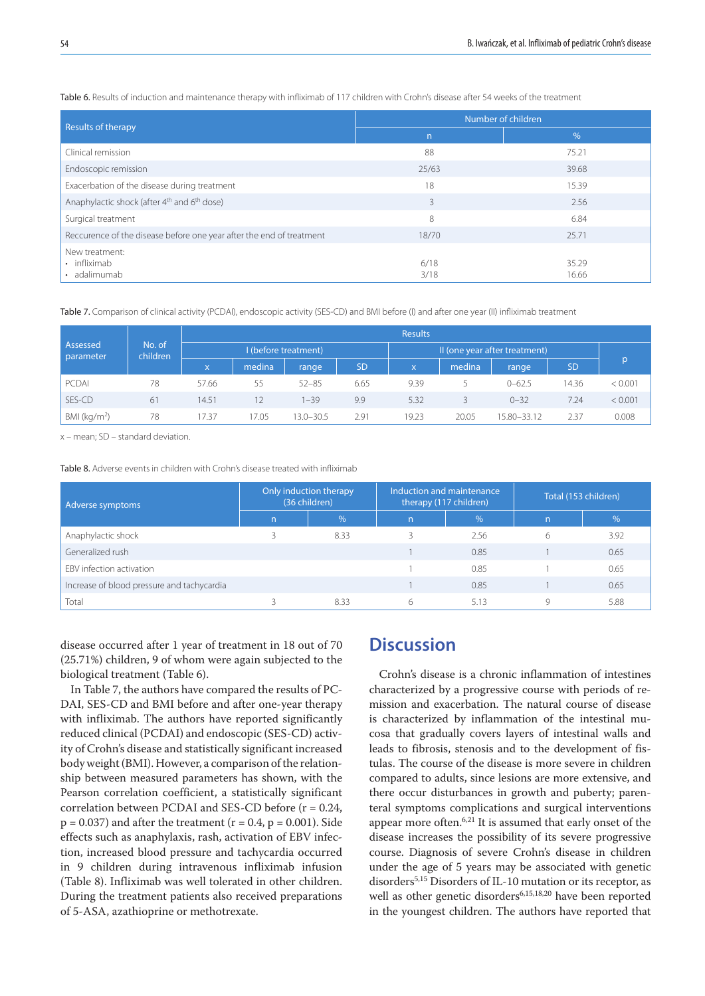|                                                                      | Number of children |                |  |  |
|----------------------------------------------------------------------|--------------------|----------------|--|--|
| Results of therapy                                                   | n                  | $\%$           |  |  |
| Clinical remission                                                   | 88                 | 75.21          |  |  |
| Endoscopic remission                                                 | 25/63              | 39.68          |  |  |
| Exacerbation of the disease during treatment                         | 18                 | 15.39          |  |  |
| Anaphylactic shock (after 4 <sup>th</sup> and 6 <sup>th</sup> dose)  | 3                  | 2.56           |  |  |
| Surgical treatment                                                   | 8                  | 6.84           |  |  |
| Reccurence of the disease before one year after the end of treatment | 18/70              | 25.71          |  |  |
| New treatment:<br>• infliximab<br>· adalimumab                       | 6/18<br>3/18       | 35.29<br>16.66 |  |  |

Table 6. Results of induction and maintenance therapy with infliximab of 117 children with Crohn's disease after 54 weeks of the treatment

Table 7. Comparison of clinical activity (PCDAI), endoscopic activity (SES-CD) and BMI before (I) and after one year (II) infliximab treatment

|                       |                    |                      |        |               |                               | <b>Results</b> |        |             |           |         |
|-----------------------|--------------------|----------------------|--------|---------------|-------------------------------|----------------|--------|-------------|-----------|---------|
| Assessed<br>parameter | No. of<br>children | I (before treatment) |        |               | II (one year after treatment) |                |        |             |           |         |
|                       |                    | <b>X</b>             | medina | range         | <b>SD</b>                     | $\mathsf{x}$   | medina | range       | <b>SD</b> | p       |
| PCDAI                 | 78                 | 57.66                | 55     | $52 - 85$     | 6.65                          | 9.39           |        | $0 - 62.5$  | 14.36     | < 0.001 |
| SES-CD                | 61                 | 14.51                |        | $1 - 39$      | 9.9                           | 5.32           |        | $0 - 32$    | 7.24      | < 0.001 |
| BMI ( $kg/m2$ )       | 78                 | 7.37                 | 17.05  | $13.0 - 30.5$ | 2.91                          | 19.23          | 20.05  | 15.80-33.12 | 2.37      | 0.008   |

x – mean; SD – standard deviation.

Table 8. Adverse events in children with Crohn's disease treated with infliximab

| Adverse symptoms                           | Only induction therapy<br>(36 children) |               | Induction and maintenance<br>therapy (117 children) |               | Total (153 children) |               |
|--------------------------------------------|-----------------------------------------|---------------|-----------------------------------------------------|---------------|----------------------|---------------|
|                                            | n                                       | $\frac{9}{6}$ | $\mathsf{n}$                                        | $\frac{9}{6}$ | $\overline{n}$       | $\frac{0}{6}$ |
| Anaphylactic shock                         |                                         | 8.33          |                                                     | 2.56          | 6                    | 3.92          |
| Generalized rush                           |                                         |               |                                                     | 0.85          |                      | 0.65          |
| EBV infection activation                   |                                         |               |                                                     | 0.85          |                      | 0.65          |
| Increase of blood pressure and tachycardia |                                         |               |                                                     | 0.85          |                      | 0.65          |
| Total                                      |                                         | 8.33          | 6                                                   | 5.13          |                      | 5.88          |

disease occurred after 1 year of treatment in 18 out of 70 (25.71%) children, 9 of whom were again subjected to the biological treatment (Table 6).

In Table 7, the authors have compared the results of PC-DAI, SES-CD and BMI before and after one-year therapy with infliximab. The authors have reported significantly reduced clinical (PCDAI) and endoscopic (SES-CD) activity of Crohn's disease and statistically significant increased body weight (BMI). However, a comparison of the relationship between measured parameters has shown, with the Pearson correlation coefficient, a statistically significant correlation between PCDAI and SES-CD before (r = 0.24,  $p = 0.037$ ) and after the treatment ( $r = 0.4$ ,  $p = 0.001$ ). Side effects such as anaphylaxis, rash, activation of EBV infection, increased blood pressure and tachycardia occurred in 9 children during intravenous infliximab infusion (Table 8). Infliximab was well tolerated in other children. During the treatment patients also received preparations of 5-ASA, azathioprine or methotrexate.

### **Discussion**

Crohn's disease is a chronic inflammation of intestines characterized by a progressive course with periods of remission and exacerbation. The natural course of disease is characterized by inflammation of the intestinal mucosa that gradually covers layers of intestinal walls and leads to fibrosis, stenosis and to the development of fistulas. The course of the disease is more severe in children compared to adults, since lesions are more extensive, and there occur disturbances in growth and puberty; parenteral symptoms complications and surgical interventions appear more often.6,21 It is assumed that early onset of the disease increases the possibility of its severe progressive course. Diagnosis of severe Crohn's disease in children under the age of 5 years may be associated with genetic disorders<sup>5,15</sup> Disorders of IL-10 mutation or its receptor, as well as other genetic disorders<sup>6,15,18,20</sup> have been reported in the youngest children. The authors have reported that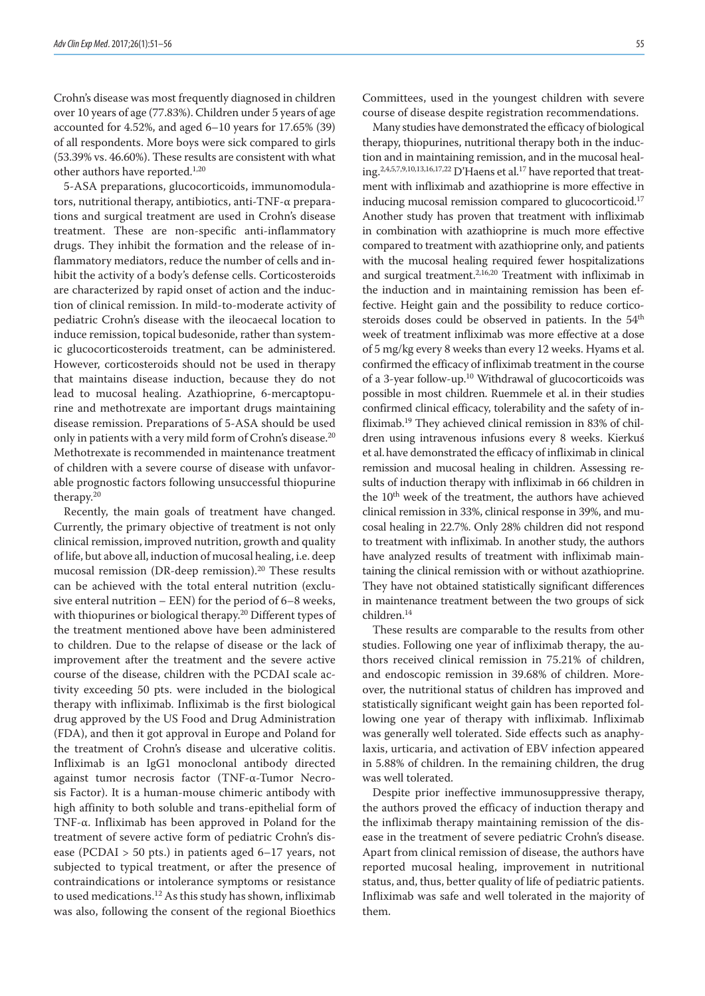Crohn's disease was most frequently diagnosed in children over 10 years of age (77.83%). Children under 5 years of age accounted for 4.52%, and aged 6–10 years for 17.65% (39) of all respondents. More boys were sick compared to girls (53.39% vs. 46.60%). These results are consistent with what other authors have reported.<sup>1,20</sup>

5-ASA preparations, glucocorticoids, immunomodulators, nutritional therapy, antibiotics, anti-TNF-α preparations and surgical treatment are used in Crohn's disease treatment. These are non-specific anti-inflammatory drugs. They inhibit the formation and the release of inflammatory mediators, reduce the number of cells and inhibit the activity of a body's defense cells. Corticosteroids are characterized by rapid onset of action and the induction of clinical remission. In mild-to-moderate activity of pediatric Crohn's disease with the ileocaecal location to induce remission, topical budesonide, rather than systemic glucocorticosteroids treatment, can be administered. However, corticosteroids should not be used in therapy that maintains disease induction, because they do not lead to mucosal healing. Azathioprine, 6-mercaptopurine and methotrexate are important drugs maintaining disease remission. Preparations of 5-ASA should be used only in patients with a very mild form of Crohn's disease.<sup>20</sup> Methotrexate is recommended in maintenance treatment of children with a severe course of disease with unfavorable prognostic factors following unsuccessful thiopurine therapy.20

Recently, the main goals of treatment have changed. Currently, the primary objective of treatment is not only clinical remission, improved nutrition, growth and quality of life, but above all, induction of mucosal healing, i.e. deep mucosal remission (DR-deep remission).<sup>20</sup> These results can be achieved with the total enteral nutrition (exclusive enteral nutrition – EEN) for the period of 6–8 weeks, with thiopurines or biological therapy.<sup>20</sup> Different types of the treatment mentioned above have been administered to children. Due to the relapse of disease or the lack of improvement after the treatment and the severe active course of the disease, children with the PCDAI scale activity exceeding 50 pts. were included in the biological therapy with infliximab. Infliximab is the first biological drug approved by the US Food and Drug Administration (FDA), and then it got approval in Europe and Poland for the treatment of Crohn's disease and ulcerative colitis. Infliximab is an IgG1 monoclonal antibody directed against tumor necrosis factor (TNF-α-Tumor Necrosis Factor). It is a human-mouse chimeric antibody with high affinity to both soluble and trans-epithelial form of TNF-α. Infliximab has been approved in Poland for the treatment of severe active form of pediatric Crohn's disease (PCDAI > 50 pts.) in patients aged 6–17 years, not subjected to typical treatment, or after the presence of contraindications or intolerance symptoms or resistance to used medications.<sup>12</sup> As this study has shown, infliximab was also, following the consent of the regional Bioethics

Committees, used in the youngest children with severe course of disease despite registration recommendations.

Many studies have demonstrated the efficacy of biological therapy, thiopurines, nutritional therapy both in the induction and in maintaining remission, and in the mucosal healing.<sup>2,4,5,7,9,10,13,16,17,22</sup> D'Haens et al.<sup>17</sup> have reported that treatment with infliximab and azathioprine is more effective in inducing mucosal remission compared to glucocorticoid.17 Another study has proven that treatment with infliximab in combination with azathioprine is much more effective compared to treatment with azathioprine only, and patients with the mucosal healing required fewer hospitalizations and surgical treatment.2,16,20 Treatment with infliximab in the induction and in maintaining remission has been effective. Height gain and the possibility to reduce corticosteroids doses could be observed in patients. In the 54<sup>th</sup> week of treatment infliximab was more effective at a dose of 5 mg/kg every 8 weeks than every 12 weeks. Hyams et al. confirmed the efficacy of infliximab treatment in the course of a 3-year follow-up.10 Withdrawal of glucocorticoids was possible in most children. Ruemmele et al. in their studies confirmed clinical efficacy, tolerability and the safety of infliximab.19 They achieved clinical remission in 83% of children using intravenous infusions every 8 weeks. Kierkuś et al.have demonstrated the efficacy of infliximab in clinical remission and mucosal healing in children. Assessing results of induction therapy with infliximab in 66 children in the 10<sup>th</sup> week of the treatment, the authors have achieved clinical remission in 33%, clinical response in 39%, and mucosal healing in 22.7%. Only 28% children did not respond to treatment with infliximab. In another study, the authors have analyzed results of treatment with infliximab maintaining the clinical remission with or without azathioprine. They have not obtained statistically significant differences in maintenance treatment between the two groups of sick children.14

These results are comparable to the results from other studies. Following one year of infliximab therapy, the authors received clinical remission in 75.21% of children, and endoscopic remission in 39.68% of children. Moreover, the nutritional status of children has improved and statistically significant weight gain has been reported following one year of therapy with infliximab. Infliximab was generally well tolerated. Side effects such as anaphylaxis, urticaria, and activation of EBV infection appeared in 5.88% of children. In the remaining children, the drug was well tolerated.

Despite prior ineffective immunosuppressive therapy, the authors proved the efficacy of induction therapy and the infliximab therapy maintaining remission of the disease in the treatment of severe pediatric Crohn's disease. Apart from clinical remission of disease, the authors have reported mucosal healing, improvement in nutritional status, and, thus, better quality of life of pediatric patients. Infliximab was safe and well tolerated in the majority of them.